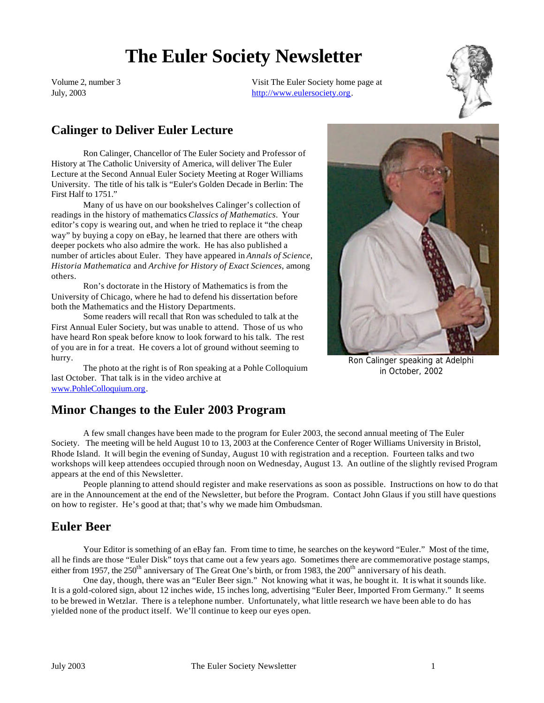# **The Euler Society Newsletter**

Volume 2, number 3 July, 2003

Visit The Euler Society home page at http://www.eulersociety.org.



## **Calinger to Deliver Euler Lecture**

Ron Calinger, Chancellor of The Euler Society and Professor of History at The Catholic University of America, will deliver The Euler Lecture at the Second Annual Euler Society Meeting at Roger Williams University. The title of his talk is "Euler's Golden Decade in Berlin: The First Half to 1751."

Many of us have on our bookshelves Calinger's collection of readings in the history of mathematics *Classics of Mathematics*. Your editor's copy is wearing out, and when he tried to replace it "the cheap way" by buying a copy on eBay, he learned that there are others with deeper pockets who also admire the work. He has also published a number of articles about Euler. They have appeared in *Annals of Science*, *Historia Mathematica* and *Archive for History of Exact Sciences*, among others.

Ron's doctorate in the History of Mathematics is from the University of Chicago, where he had to defend his dissertation before both the Mathematics and the History Departments.

Some readers will recall that Ron was scheduled to talk at the First Annual Euler Society, but was unable to attend. Those of us who have heard Ron speak before know to look forward to his talk. The rest of you are in for a treat. He covers a lot of ground without seeming to hurry.

The photo at the right is of Ron speaking at a Pohle Colloquium last October. That talk is in the video archive at www.PohleColloquium.org.



Ron Calinger speaking at Adelphi in October, 2002

## **Minor Changes to the Euler 2003 Program**

A few small changes have been made to the program for Euler 2003, the second annual meeting of The Euler Society. The meeting will be held August 10 to 13, 2003 at the Conference Center of Roger Williams University in Bristol, Rhode Island. It will begin the evening of Sunday, August 10 with registration and a reception. Fourteen talks and two workshops will keep attendees occupied through noon on Wednesday, August 13. An outline of the slightly revised Program appears at the end of this Newsletter.

People planning to attend should register and make reservations as soon as possible. Instructions on how to do that are in the Announcement at the end of the Newsletter, but before the Program. Contact John Glaus if you still have questions on how to register. He's good at that; that's why we made him Ombudsman.

## **Euler Beer**

Your Editor is something of an eBay fan. From time to time, he searches on the keyword "Euler." Most of the time, all he finds are those "Euler Disk" toys that came out a few years ago. Sometimes there are commemorative postage stamps, either from 1957, the 250<sup>th</sup> anniversary of The Great One's birth, or from 1983, the 200<sup>th</sup> anniversary of his death.

One day, though, there was an "Euler Beer sign." Not knowing what it was, he bought it. It is what it sounds like. It is a gold-colored sign, about 12 inches wide, 15 inches long, advertising "Euler Beer, Imported From Germany." It seems to be brewed in Wetzlar. There is a telephone number. Unfortunately, what little research we have been able to do has yielded none of the product itself. We'll continue to keep our eyes open.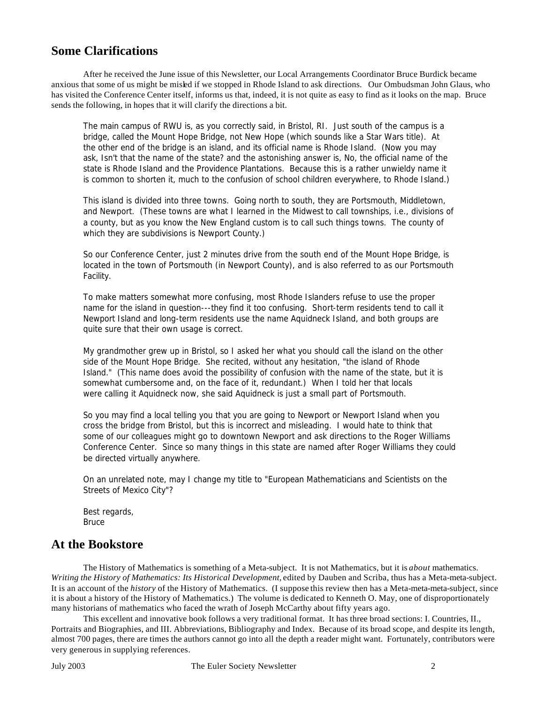## **Some Clarifications**

After he received the June issue of this Newsletter, our Local Arrangements Coordinator Bruce Burdick became anxious that some of us might be misled if we stopped in Rhode Island to ask directions. Our Ombudsman John Glaus, who has visited the Conference Center itself, informs us that, indeed, it is not quite as easy to find as it looks on the map. Bruce sends the following, in hopes that it will clarify the directions a bit.

The main campus of RWU is, as you correctly said, in Bristol, RI. Just south of the campus is a bridge, called the Mount Hope Bridge, not New Hope (which sounds like a Star Wars title). At the other end of the bridge is an island, and its official name is Rhode Island. (Now you may ask, Isn't that the name of the state? and the astonishing answer is, No, the official name of the state is Rhode Island and the Providence Plantations. Because this is a rather unwieldy name it is common to shorten it, much to the confusion of school children everywhere, to Rhode Island.)

This island is divided into three towns. Going north to south, they are Portsmouth, Middletown, and Newport. (These towns are what I learned in the Midwest to call townships, i.e., divisions of a county, but as you know the New England custom is to call such things towns. The county of which they are subdivisions is Newport County.)

So our Conference Center, just 2 minutes drive from the south end of the Mount Hope Bridge, is located in the town of Portsmouth (in Newport County), and is also referred to as our Portsmouth Facility.

To make matters somewhat more confusing, most Rhode Islanders refuse to use the proper name for the island in question---they find it too confusing. Short-term residents tend to call it Newport Island and long-term residents use the name Aquidneck Island, and both groups are quite sure that their own usage is correct.

My grandmother grew up in Bristol, so I asked her what you should call the island on the other side of the Mount Hope Bridge. She recited, without any hesitation, "the island of Rhode Island." (This name does avoid the possibility of confusion with the name of the state, but it is somewhat cumbersome and, on the face of it, redundant.) When I told her that locals were calling it Aquidneck now, she said Aquidneck is just a small part of Portsmouth.

So you may find a local telling you that you are going to Newport or Newport Island when you cross the bridge from Bristol, but this is incorrect and misleading. I would hate to think that some of our colleagues might go to downtown Newport and ask directions to the Roger Williams Conference Center. Since so many things in this state are named after Roger Williams they could be directed virtually anywhere.

On an unrelated note, may I change my title to "European Mathematicians and Scientists on the Streets of Mexico City"?

Best regards, Bruce

## **At the Bookstore**

The History of Mathematics is something of a Meta-subject. It is not Mathematics, but it is *about* mathematics. *Writing the History of Mathematics: Its Historical Development,* edited by Dauben and Scriba, thus has a Meta-meta-subject. It is an account of the *history* of the History of Mathematics. (I suppose this review then has a Meta-meta-meta-subject, since it is about a history of the History of Mathematics.) The volume is dedicated to Kenneth O. May, one of disproportionately many historians of mathematics who faced the wrath of Joseph McCarthy about fifty years ago.

This excellent and innovative book follows a very traditional format. It has three broad sections: I. Countries, II., Portraits and Biographies, and III. Abbreviations, Bibliography and Index. Because of its broad scope, and despite its length, almost 700 pages, there are times the authors cannot go into all the depth a reader might want. Fortunately, contributors were very generous in supplying references.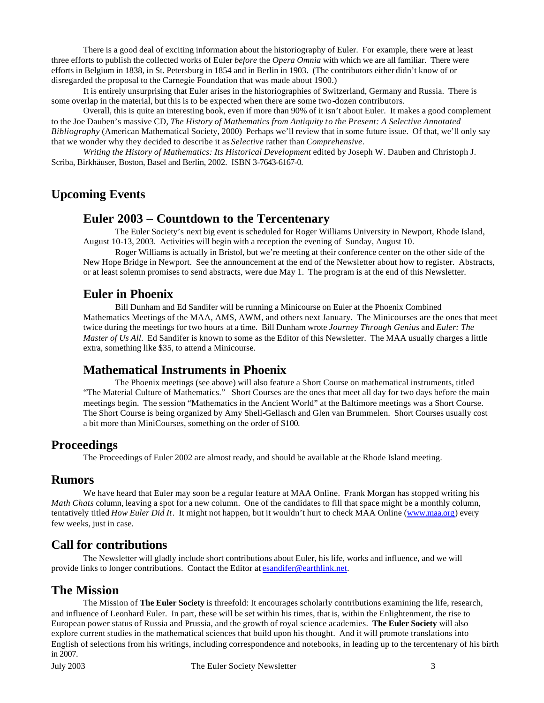There is a good deal of exciting information about the historiography of Euler. For example, there were at least three efforts to publish the collected works of Euler *before* the *Opera Omnia* with which we are all familiar. There were efforts in Belgium in 1838, in St. Petersburg in 1854 and in Berlin in 1903. (The contributors either didn't know of or disregarded the proposal to the Carnegie Foundation that was made about 1900.)

It is entirely unsurprising that Euler arises in the historiographies of Switzerland, Germany and Russia. There is some overlap in the material, but this is to be expected when there are some two-dozen contributors.

Overall, this is quite an interesting book, even if more than 90% of it isn't about Euler. It makes a good complement to the Joe Dauben's massive CD, *The History of Mathematics from Antiquity to the Present: A Selective Annotated Bibliography* (American Mathematical Society, 2000) Perhaps we'll review that in some future issue. Of that, we'll only say that we wonder why they decided to describe it as *Selective* rather than *Comprehensive*.

*Writing the History of Mathematics: Its Historical Development* edited by Joseph W. Dauben and Christoph J. Scriba, Birkhäuser, Boston, Basel and Berlin, 2002. ISBN 3-7643-6167-0.

## **Upcoming Events**

#### **Euler 2003 – Countdown to the Tercentenary**

The Euler Society's next big event is scheduled for Roger Williams University in Newport, Rhode Island, August 10-13, 2003. Activities will begin with a reception the evening of Sunday, August 10.

Roger Williams is actually in Bristol, but we're meeting at their conference center on the other side of the New Hope Bridge in Newport. See the announcement at the end of the Newsletter about how to register. Abstracts, or at least solemn promises to send abstracts, were due May 1. The program is at the end of this Newsletter.

#### **Euler in Phoenix**

Bill Dunham and Ed Sandifer will be running a Minicourse on Euler at the Phoenix Combined Mathematics Meetings of the MAA, AMS, AWM, and others next January. The Minicourses are the ones that meet twice during the meetings for two hours at a time. Bill Dunham wrote *Journey Through Genius* and *Euler: The Master of Us All*. Ed Sandifer is known to some as the Editor of this Newsletter. The MAA usually charges a little extra, something like \$35, to attend a Minicourse.

## **Mathematical Instruments in Phoenix**

The Phoenix meetings (see above) will also feature a Short Course on mathematical instruments, titled "The Material Culture of Mathematics." Short Courses are the ones that meet all day for two days before the main meetings begin. The session "Mathematics in the Ancient World" at the Baltimore meetings was a Short Course. The Short Course is being organized by Amy Shell-Gellasch and Glen van Brummelen. Short Courses usually cost a bit more than MiniCourses, something on the order of \$100.

#### **Proceedings**

The Proceedings of Euler 2002 are almost ready, and should be available at the Rhode Island meeting.

## **Rumors**

We have heard that Euler may soon be a regular feature at MAA Online. Frank Morgan has stopped writing his *Math Chats* column, leaving a spot for a new column. One of the candidates to fill that space might be a monthly column, tentatively titled *How Euler Did It*. It might not happen, but it wouldn't hurt to check MAA Online (www.maa.org) every few weeks, just in case.

## **Call for contributions**

The Newsletter will gladly include short contributions about Euler, his life, works and influence, and we will provide links to longer contributions. Contact the Editor at esandifer@earthlink.net.

## **The Mission**

The Mission of **The Euler Society** is threefold: It encourages scholarly contributions examining the life, research, and influence of Leonhard Euler. In part, these will be set within his times, that is, within the Enlightenment, the rise to European power status of Russia and Prussia, and the growth of royal science academies. **The Euler Society** will also explore current studies in the mathematical sciences that build upon his thought. And it will promote translations into English of selections from his writings, including correspondence and notebooks, in leading up to the tercentenary of his birth in 2007.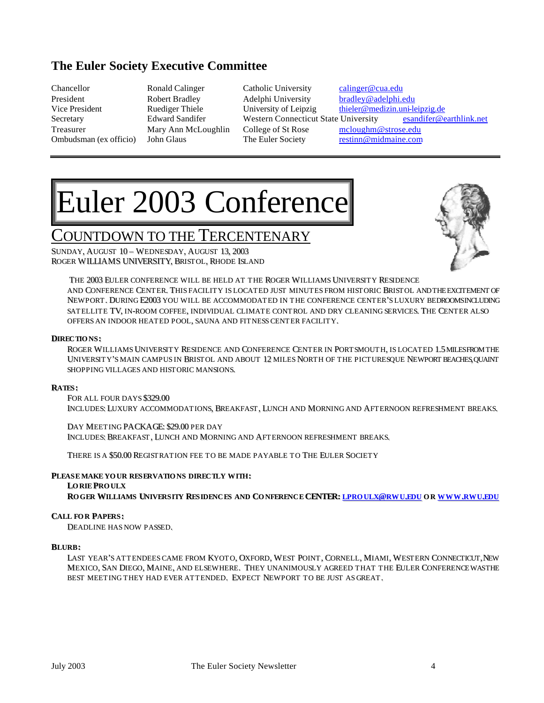## **The Euler Society Executive Committee**

Secretary Edward Sandifer Western Connecticut State University

Chancellor Ronald Calinger Catholic University calinger@cua.edu President Robert Bradley Adelphi University bradley@adelphi.edu Vice President Ruediger Thiele University of Leipzig thieler @medizin.uni-leipzig.de<br>Secretary Bedward Sandifer Western Connecticut State University esandifer @earthlink.net Treasurer Mary Ann McLoughlin College of St Rose mcloughm@strose.edu Ombudsman (ex officio) John Glaus The Euler Society restinn@midmaine.com

# Euler 2003 Conference

## COUNTDOWN TO THE TERCENTENARY

SUNDAY, AUGUST 10 – WEDNESDAY, AUGUST 13, 2003 ROGER WILLIAMS UNIVERSITY, BRISTOL, RHODE ISLAND



THE 2003 EULER CONFERENCE WILL BE HELD AT THE ROGER WILLIAMS UNIVERSITY RESIDENCE AND CONFERENCE CENTER.. THIS FACILITY IS LOCATED JUST MINUTES FROM HISTORIC BRISTOL ANDTHEEXCITEMENT OF NEWPORT. DURING E2003 YOU WILL BE ACCOMMODATED IN THE CONFERENCE CENTER'S LUXURY BEDROOMSINCLUDING SATELLITE TV, IN-ROOM COFFEE, INDIVIDUAL CLIMATE CONTROL AND DRY CLEANING SERVICES. THE CENTER ALSO OFFERS AN INDOOR HEATED POOL, SAUNA AND FITNESS CENTER FACILITY.

#### **DIRECTIONS :**

ROGER WILLIAMS UNIVERSITY RESIDENCE AND CONFERENCE CENTER IN PORTSMOUTH, IS LOCATED 1.5 MILESFROM THE UNIVERSITY'S MAIN CAMPUS IN BRISTOL AND ABOUT 12 MILES NORTH OF THE PICTURESQUE NEWPORT BEACHES, QUAINT SHOPPING VILLAGES AND HISTORIC MANSIONS..

#### **RATES :**

FOR ALL FOUR DAYS \$329.00 INCLUDES: LUXURY ACCOMMODATIONS, BREAKFAST, LUNCH AND MORNING AND AFTERNOON REFRESHMENT BREAKS.

#### DAY MEETING PACKAGE: \$29.00 PER DAY

INCLUDES: BREAKFAST, LUNCH AND MORNING AND AFTERNOON REFRESHMENT BREAKS.

THERE IS A \$50.00 REGISTRATION FEE TO BE MADE PAYABLE TO THE EULER SOCIETY

#### **PLEASEMAKE YOUR RESERVATIONS DIRECTLY WITH: LORIE PROULX** ROGER WILLIAMS UNIVERSITY RESIDENCES AND CONFERENCE CENTER; LPROULX@RWU,EDU OR WWW,RWU,EDU

#### **CALL FOR PAPERS :**

DEADLINE HAS NOW PASSED..

#### **BLURB:**

LAST YEAR'S ATTENDEES CAME FROM KYOTO, OXFORD, WEST POINT, CORNELL, MIAMI, WESTERN CONNECTICUT, NEW MEXICO, SAN DIEGO, MAINE, AND ELSEWHERE. THEY UNANIMOUSLY AGREED THAT THE EULER CONFERENCE WASTHE BEST MEETING THEY HAD EVER ATTENDED. EXPECT NEWPORT TO BE JUST AS GREAT.